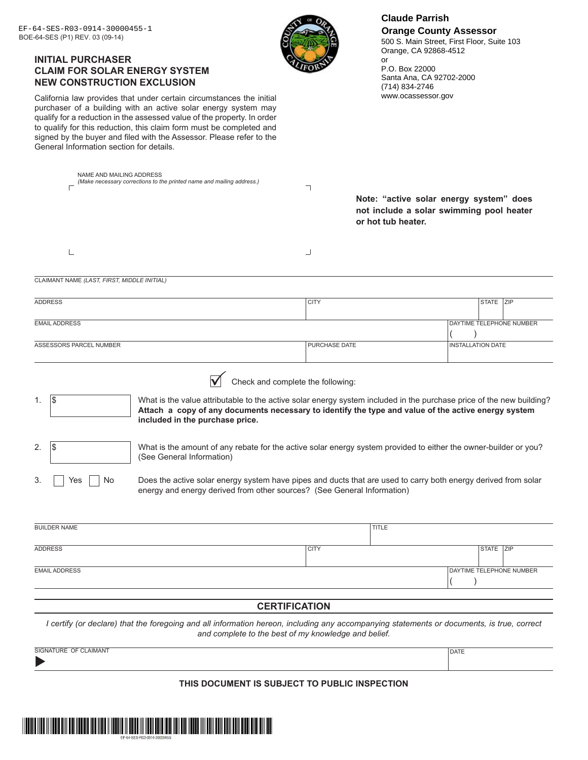| NAME AND MAILING ADDRESS<br>(Make necessary corrections to the printed name and mailing address.)<br>┐<br>Note: "active solar energy system" does<br>not include a solar swimming pool heater<br>or hot tub heater.<br>L<br>┘<br>CLAIMANT NAME (LAST, FIRST, MIDDLE INITIAL)<br><b>CITY</b><br><b>ADDRESS</b><br>STATE ZIP<br>DAYTIME TELEPHONE NUMBER<br><b>EMAIL ADDRESS</b><br>ASSESSORS PARCEL NUMBER<br>PURCHASE DATE<br><b>INSTALLATION DATE</b><br>Check and complete the following:<br>1\$<br>What is the value attributable to the active solar energy system included in the purchase price of the new building?<br>1.<br>Attach a copy of any documents necessary to identify the type and value of the active energy system<br>included in the purchase price.<br>What is the amount of any rebate for the active solar energy system provided to either the owner-builder or you?<br>2.<br>IÞ<br>(See General Information)<br>3.<br>Does the active solar energy system have pipes and ducts that are used to carry both energy derived from solar<br>Yes<br>No<br>energy and energy derived from other sources? (See General Information)<br><b>TITLE</b><br><b>BUILDER NAME</b><br><b>CITY</b><br><b>ADDRESS</b><br>STATE ZIP<br>DAYTIME TELEPHONE NUMBER<br><b>EMAIL ADDRESS</b><br><b>CERTIFICATION</b><br>I certify (or declare) that the foregoing and all information hereon, including any accompanying statements or documents, is true, correct<br>and complete to the best of my knowledge and belief.<br>SIGNATURE OF CLAIMANT<br><b>DATE</b> | EF-64-SES-R03-0914-30000455-1<br>BOE-64-SES (P1) REV. 03 (09-14)<br><b>INITIAL PURCHASER</b><br><b>CLAIM FOR SOLAR ENERGY SYSTEM</b><br><b>NEW CONSTRUCTION EXCLUSION</b><br>California law provides that under certain circumstances the initial<br>purchaser of a building with an active solar energy system may<br>qualify for a reduction in the assessed value of the property. In order<br>to qualify for this reduction, this claim form must be completed and<br>signed by the buyer and filed with the Assessor. Please refer to the<br>General Information section for details. | or | <b>Claude Parrish</b><br><b>Orange County Assessor</b><br>500 S. Main Street, First Floor, Suite 103<br>Orange, CA 92868-4512<br>P.O. Box 22000<br>Santa Ana, CA 92702-2000<br>(714) 834-2746<br>www.ocassessor.gov |
|------------------------------------------------------------------------------------------------------------------------------------------------------------------------------------------------------------------------------------------------------------------------------------------------------------------------------------------------------------------------------------------------------------------------------------------------------------------------------------------------------------------------------------------------------------------------------------------------------------------------------------------------------------------------------------------------------------------------------------------------------------------------------------------------------------------------------------------------------------------------------------------------------------------------------------------------------------------------------------------------------------------------------------------------------------------------------------------------------------------------------------------------------------------------------------------------------------------------------------------------------------------------------------------------------------------------------------------------------------------------------------------------------------------------------------------------------------------------------------------------------------------------------------------------------------------------|--------------------------------------------------------------------------------------------------------------------------------------------------------------------------------------------------------------------------------------------------------------------------------------------------------------------------------------------------------------------------------------------------------------------------------------------------------------------------------------------------------------------------------------------------------------------------------------------|----|---------------------------------------------------------------------------------------------------------------------------------------------------------------------------------------------------------------------|
|                                                                                                                                                                                                                                                                                                                                                                                                                                                                                                                                                                                                                                                                                                                                                                                                                                                                                                                                                                                                                                                                                                                                                                                                                                                                                                                                                                                                                                                                                                                                                                        |                                                                                                                                                                                                                                                                                                                                                                                                                                                                                                                                                                                            |    |                                                                                                                                                                                                                     |
|                                                                                                                                                                                                                                                                                                                                                                                                                                                                                                                                                                                                                                                                                                                                                                                                                                                                                                                                                                                                                                                                                                                                                                                                                                                                                                                                                                                                                                                                                                                                                                        |                                                                                                                                                                                                                                                                                                                                                                                                                                                                                                                                                                                            |    |                                                                                                                                                                                                                     |
|                                                                                                                                                                                                                                                                                                                                                                                                                                                                                                                                                                                                                                                                                                                                                                                                                                                                                                                                                                                                                                                                                                                                                                                                                                                                                                                                                                                                                                                                                                                                                                        |                                                                                                                                                                                                                                                                                                                                                                                                                                                                                                                                                                                            |    |                                                                                                                                                                                                                     |
|                                                                                                                                                                                                                                                                                                                                                                                                                                                                                                                                                                                                                                                                                                                                                                                                                                                                                                                                                                                                                                                                                                                                                                                                                                                                                                                                                                                                                                                                                                                                                                        |                                                                                                                                                                                                                                                                                                                                                                                                                                                                                                                                                                                            |    |                                                                                                                                                                                                                     |
|                                                                                                                                                                                                                                                                                                                                                                                                                                                                                                                                                                                                                                                                                                                                                                                                                                                                                                                                                                                                                                                                                                                                                                                                                                                                                                                                                                                                                                                                                                                                                                        |                                                                                                                                                                                                                                                                                                                                                                                                                                                                                                                                                                                            |    |                                                                                                                                                                                                                     |
|                                                                                                                                                                                                                                                                                                                                                                                                                                                                                                                                                                                                                                                                                                                                                                                                                                                                                                                                                                                                                                                                                                                                                                                                                                                                                                                                                                                                                                                                                                                                                                        |                                                                                                                                                                                                                                                                                                                                                                                                                                                                                                                                                                                            |    |                                                                                                                                                                                                                     |
|                                                                                                                                                                                                                                                                                                                                                                                                                                                                                                                                                                                                                                                                                                                                                                                                                                                                                                                                                                                                                                                                                                                                                                                                                                                                                                                                                                                                                                                                                                                                                                        |                                                                                                                                                                                                                                                                                                                                                                                                                                                                                                                                                                                            |    |                                                                                                                                                                                                                     |
|                                                                                                                                                                                                                                                                                                                                                                                                                                                                                                                                                                                                                                                                                                                                                                                                                                                                                                                                                                                                                                                                                                                                                                                                                                                                                                                                                                                                                                                                                                                                                                        |                                                                                                                                                                                                                                                                                                                                                                                                                                                                                                                                                                                            |    |                                                                                                                                                                                                                     |
|                                                                                                                                                                                                                                                                                                                                                                                                                                                                                                                                                                                                                                                                                                                                                                                                                                                                                                                                                                                                                                                                                                                                                                                                                                                                                                                                                                                                                                                                                                                                                                        |                                                                                                                                                                                                                                                                                                                                                                                                                                                                                                                                                                                            |    |                                                                                                                                                                                                                     |
|                                                                                                                                                                                                                                                                                                                                                                                                                                                                                                                                                                                                                                                                                                                                                                                                                                                                                                                                                                                                                                                                                                                                                                                                                                                                                                                                                                                                                                                                                                                                                                        |                                                                                                                                                                                                                                                                                                                                                                                                                                                                                                                                                                                            |    |                                                                                                                                                                                                                     |
|                                                                                                                                                                                                                                                                                                                                                                                                                                                                                                                                                                                                                                                                                                                                                                                                                                                                                                                                                                                                                                                                                                                                                                                                                                                                                                                                                                                                                                                                                                                                                                        |                                                                                                                                                                                                                                                                                                                                                                                                                                                                                                                                                                                            |    |                                                                                                                                                                                                                     |
|                                                                                                                                                                                                                                                                                                                                                                                                                                                                                                                                                                                                                                                                                                                                                                                                                                                                                                                                                                                                                                                                                                                                                                                                                                                                                                                                                                                                                                                                                                                                                                        |                                                                                                                                                                                                                                                                                                                                                                                                                                                                                                                                                                                            |    |                                                                                                                                                                                                                     |
|                                                                                                                                                                                                                                                                                                                                                                                                                                                                                                                                                                                                                                                                                                                                                                                                                                                                                                                                                                                                                                                                                                                                                                                                                                                                                                                                                                                                                                                                                                                                                                        |                                                                                                                                                                                                                                                                                                                                                                                                                                                                                                                                                                                            |    |                                                                                                                                                                                                                     |
|                                                                                                                                                                                                                                                                                                                                                                                                                                                                                                                                                                                                                                                                                                                                                                                                                                                                                                                                                                                                                                                                                                                                                                                                                                                                                                                                                                                                                                                                                                                                                                        |                                                                                                                                                                                                                                                                                                                                                                                                                                                                                                                                                                                            |    |                                                                                                                                                                                                                     |
|                                                                                                                                                                                                                                                                                                                                                                                                                                                                                                                                                                                                                                                                                                                                                                                                                                                                                                                                                                                                                                                                                                                                                                                                                                                                                                                                                                                                                                                                                                                                                                        |                                                                                                                                                                                                                                                                                                                                                                                                                                                                                                                                                                                            |    |                                                                                                                                                                                                                     |
|                                                                                                                                                                                                                                                                                                                                                                                                                                                                                                                                                                                                                                                                                                                                                                                                                                                                                                                                                                                                                                                                                                                                                                                                                                                                                                                                                                                                                                                                                                                                                                        |                                                                                                                                                                                                                                                                                                                                                                                                                                                                                                                                                                                            |    |                                                                                                                                                                                                                     |